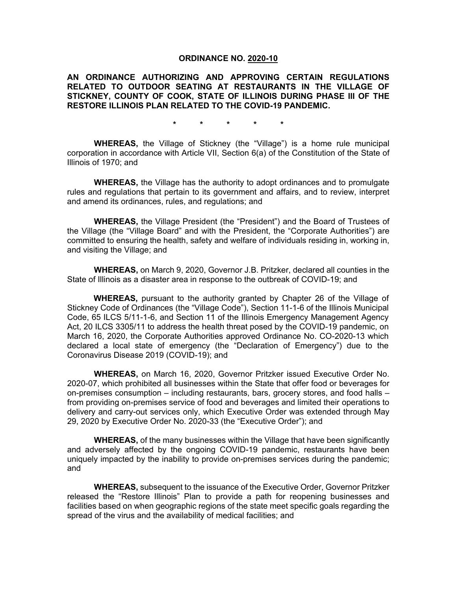#### **ORDINANCE NO. 2020-10**

**AN ORDINANCE AUTHORIZING AND APPROVING CERTAIN REGULATIONS RELATED TO OUTDOOR SEATING AT RESTAURANTS IN THE VILLAGE OF STICKNEY, COUNTY OF COOK, STATE OF ILLINOIS DURING PHASE III OF THE RESTORE ILLINOIS PLAN RELATED TO THE COVID-19 PANDEMIC.**

**\* \* \* \* \***

**WHEREAS,** the Village of Stickney (the "Village") is a home rule municipal corporation in accordance with Article VII, Section 6(a) of the Constitution of the State of Illinois of 1970; and

**WHEREAS,** the Village has the authority to adopt ordinances and to promulgate rules and regulations that pertain to its government and affairs, and to review, interpret and amend its ordinances, rules, and regulations; and

**WHEREAS,** the Village President (the "President") and the Board of Trustees of the Village (the "Village Board" and with the President, the "Corporate Authorities") are committed to ensuring the health, safety and welfare of individuals residing in, working in, and visiting the Village; and

**WHEREAS,** on March 9, 2020, Governor J.B. Pritzker, declared all counties in the State of Illinois as a disaster area in response to the outbreak of COVID-19; and

**WHEREAS,** pursuant to the authority granted by Chapter 26 of the Village of Stickney Code of Ordinances (the "Village Code"), Section 11-1-6 of the Illinois Municipal Code, 65 ILCS 5/11-1-6, and Section 11 of the Illinois Emergency Management Agency Act, 20 ILCS 3305/11 to address the health threat posed by the COVID-19 pandemic, on March 16, 2020, the Corporate Authorities approved Ordinance No. CO-2020-13 which declared a local state of emergency (the "Declaration of Emergency") due to the Coronavirus Disease 2019 (COVID-19); and

**WHEREAS,** on March 16, 2020, Governor Pritzker issued Executive Order No. 2020-07, which prohibited all businesses within the State that offer food or beverages for on-premises consumption – including restaurants, bars, grocery stores, and food halls – from providing on-premises service of food and beverages and limited their operations to delivery and carry-out services only, which Executive Order was extended through May 29, 2020 by Executive Order No. 2020-33 (the "Executive Order"); and

**WHEREAS,** of the many businesses within the Village that have been significantly and adversely affected by the ongoing COVID-19 pandemic, restaurants have been uniquely impacted by the inability to provide on-premises services during the pandemic; and

**WHEREAS,** subsequent to the issuance of the Executive Order, Governor Pritzker released the "Restore Illinois" Plan to provide a path for reopening businesses and facilities based on when geographic regions of the state meet specific goals regarding the spread of the virus and the availability of medical facilities; and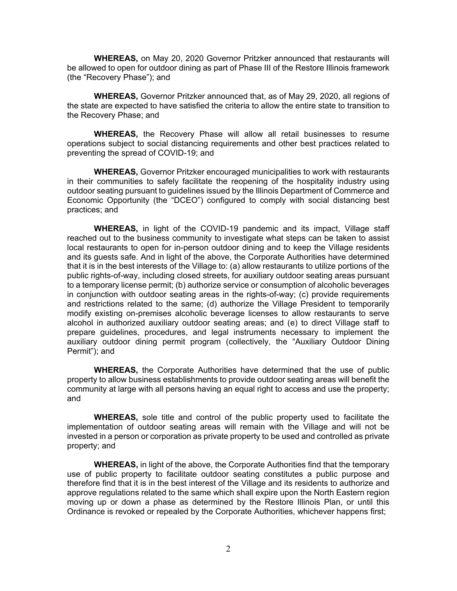**WHEREAS,** on May 20, 2020 Governor Pritzker announced that restaurants will be allowed to open for outdoor dining as part of Phase III of the Restore Illinois framework (the "Recovery Phase"); and

**WHEREAS,** Governor Pritzker announced that, as of May 29, 2020, all regions of the state are expected to have satisfied the criteria to allow the entire state to transition to the Recovery Phase; and

**WHEREAS,** the Recovery Phase will allow all retail businesses to resume operations subject to social distancing requirements and other best practices related to preventing the spread of COVID-19; and

**WHEREAS,** Governor Pritzker encouraged municipalities to work with restaurants in their communities to safely facilitate the reopening of the hospitality industry using outdoor seating pursuant to guidelines issued by the Illinois Department of Commerce and Economic Opportunity (the "DCEO") configured to comply with social distancing best practices; and

**WHEREAS,** in light of the COVID-19 pandemic and its impact, Village staff reached out to the business community to investigate what steps can be taken to assist local restaurants to open for in-person outdoor dining and to keep the Village residents and its guests safe. And in light of the above, the Corporate Authorities have determined that it is in the best interests of the Village to: (a) allow restaurants to utilize portions of the public rights-of-way, including closed streets, for auxiliary outdoor seating areas pursuant to a temporary license permit; (b) authorize service or consumption of alcoholic beverages in conjunction with outdoor seating areas in the rights-of-way; (c) provide requirements and restrictions related to the same; (d) authorize the Village President to temporarily modify existing on-premises alcoholic beverage licenses to allow restaurants to serve alcohol in authorized auxiliary outdoor seating areas; and (e) to direct Village staff to prepare guidelines, procedures, and legal instruments necessary to implement the auxiliary outdoor dining permit program (collectively, the "Auxiliary Outdoor Dining Permit"); and

**WHEREAS,** the Corporate Authorities have determined that the use of public property to allow business establishments to provide outdoor seating areas will benefit the community at large with all persons having an equal right to access and use the property; and

**WHEREAS,** sole title and control of the public property used to facilitate the implementation of outdoor seating areas will remain with the Village and will not be invested in a person or corporation as private property to be used and controlled as private property; and

**WHEREAS,** in light of the above, the Corporate Authorities find that the temporary use of public property to facilitate outdoor seating constitutes a public purpose and therefore find that it is in the best interest of the Village and its residents to authorize and approve regulations related to the same which shall expire upon the North Eastern region moving up or down a phase as determined by the Restore Illinois Plan, or until this Ordinance is revoked or repealed by the Corporate Authorities, whichever happens first;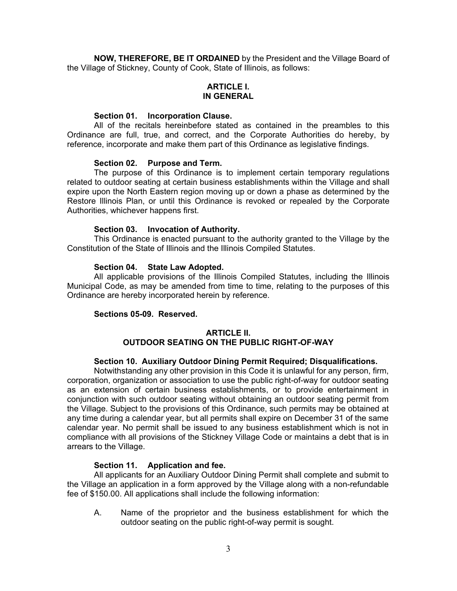**NOW, THEREFORE, BE IT ORDAINED** by the President and the Village Board of the Village of Stickney, County of Cook, State of Illinois, as follows:

## **ARTICLE I. IN GENERAL**

## **Section 01. Incorporation Clause.**

All of the recitals hereinbefore stated as contained in the preambles to this Ordinance are full, true, and correct, and the Corporate Authorities do hereby, by reference, incorporate and make them part of this Ordinance as legislative findings.

### **Section 02. Purpose and Term.**

The purpose of this Ordinance is to implement certain temporary regulations related to outdoor seating at certain business establishments within the Village and shall expire upon the North Eastern region moving up or down a phase as determined by the Restore Illinois Plan, or until this Ordinance is revoked or repealed by the Corporate Authorities, whichever happens first.

### **Section 03. Invocation of Authority.**

This Ordinance is enacted pursuant to the authority granted to the Village by the Constitution of the State of Illinois and the Illinois Compiled Statutes.

### **Section 04. State Law Adopted.**

All applicable provisions of the Illinois Compiled Statutes, including the Illinois Municipal Code, as may be amended from time to time, relating to the purposes of this Ordinance are hereby incorporated herein by reference.

## **Sections 05-09. Reserved.**

## **ARTICLE II. OUTDOOR SEATING ON THE PUBLIC RIGHT-OF-WAY**

## **Section 10. Auxiliary Outdoor Dining Permit Required; Disqualifications.**

Notwithstanding any other provision in this Code it is unlawful for any person, firm, corporation, organization or association to use the public right-of-way for outdoor seating as an extension of certain business establishments, or to provide entertainment in conjunction with such outdoor seating without obtaining an outdoor seating permit from the Village. Subject to the provisions of this Ordinance, such permits may be obtained at any time during a calendar year, but all permits shall expire on December 31 of the same calendar year. No permit shall be issued to any business establishment which is not in compliance with all provisions of the Stickney Village Code or maintains a debt that is in arrears to the Village.

## **Section 11. Application and fee.**

All applicants for an Auxiliary Outdoor Dining Permit shall complete and submit to the Village an application in a form approved by the Village along with a non-refundable fee of \$150.00. All applications shall include the following information:

A. Name of the proprietor and the business establishment for which the outdoor seating on the public right-of-way permit is sought.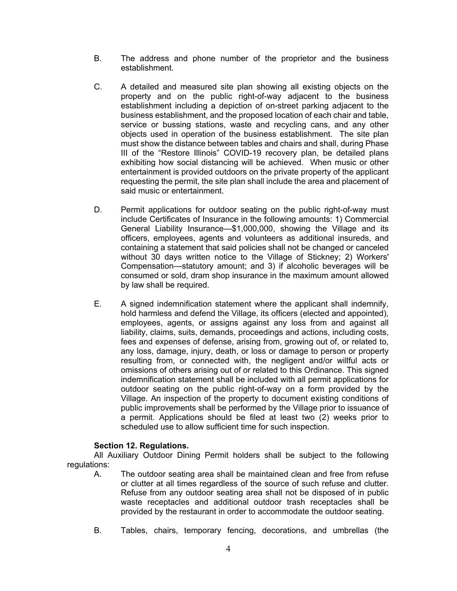- B. The address and phone number of the proprietor and the business establishment.
- C. A detailed and measured site plan showing all existing objects on the property and on the public right-of-way adjacent to the business establishment including a depiction of on-street parking adjacent to the business establishment, and the proposed location of each chair and table, service or bussing stations, waste and recycling cans, and any other objects used in operation of the business establishment. The site plan must show the distance between tables and chairs and shall, during Phase III of the "Restore Illinois" COVID-19 recovery plan, be detailed plans exhibiting how social distancing will be achieved. When music or other entertainment is provided outdoors on the private property of the applicant requesting the permit, the site plan shall include the area and placement of said music or entertainment.
- D. Permit applications for outdoor seating on the public right-of-way must include Certificates of Insurance in the following amounts: 1) Commercial General Liability Insurance—\$1,000,000, showing the Village and its officers, employees, agents and volunteers as additional insureds, and containing a statement that said policies shall not be changed or canceled without 30 days written notice to the Village of Stickney; 2) Workers' Compensation—statutory amount; and 3) if alcoholic beverages will be consumed or sold, dram shop insurance in the maximum amount allowed by law shall be required.
- E. A signed indemnification statement where the applicant shall indemnify, hold harmless and defend the Village, its officers (elected and appointed), employees, agents, or assigns against any loss from and against all liability, claims, suits, demands, proceedings and actions, including costs, fees and expenses of defense, arising from, growing out of, or related to, any loss, damage, injury, death, or loss or damage to person or property resulting from, or connected with, the negligent and/or willful acts or omissions of others arising out of or related to this Ordinance. This signed indemnification statement shall be included with all permit applications for outdoor seating on the public right-of-way on a form provided by the Village. An inspection of the property to document existing conditions of public improvements shall be performed by the Village prior to issuance of a permit. Applications should be filed at least two (2) weeks prior to scheduled use to allow sufficient time for such inspection.

# **Section 12. Regulations.**

All Auxiliary Outdoor Dining Permit holders shall be subject to the following regulations:

- A. The outdoor seating area shall be maintained clean and free from refuse or clutter at all times regardless of the source of such refuse and clutter. Refuse from any outdoor seating area shall not be disposed of in public waste receptacles and additional outdoor trash receptacles shall be provided by the restaurant in order to accommodate the outdoor seating.
- B. Tables, chairs, temporary fencing, decorations, and umbrellas (the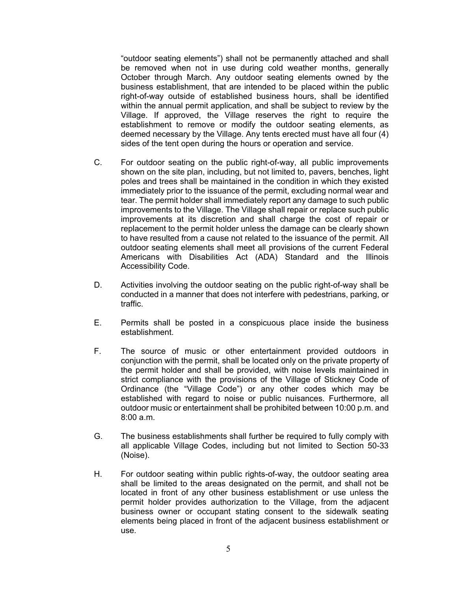"outdoor seating elements") shall not be permanently attached and shall be removed when not in use during cold weather months, generally October through March. Any outdoor seating elements owned by the business establishment, that are intended to be placed within the public right-of-way outside of established business hours, shall be identified within the annual permit application, and shall be subject to review by the Village. If approved, the Village reserves the right to require the establishment to remove or modify the outdoor seating elements, as deemed necessary by the Village. Any tents erected must have all four (4) sides of the tent open during the hours or operation and service.

- C. For outdoor seating on the public right-of-way, all public improvements shown on the site plan, including, but not limited to, pavers, benches, light poles and trees shall be maintained in the condition in which they existed immediately prior to the issuance of the permit, excluding normal wear and tear. The permit holder shall immediately report any damage to such public improvements to the Village. The Village shall repair or replace such public improvements at its discretion and shall charge the cost of repair or replacement to the permit holder unless the damage can be clearly shown to have resulted from a cause not related to the issuance of the permit. All outdoor seating elements shall meet all provisions of the current Federal Americans with Disabilities Act (ADA) Standard and the Illinois Accessibility Code.
- D. Activities involving the outdoor seating on the public right-of-way shall be conducted in a manner that does not interfere with pedestrians, parking, or traffic.
- E. Permits shall be posted in a conspicuous place inside the business establishment.
- F. The source of music or other entertainment provided outdoors in conjunction with the permit, shall be located only on the private property of the permit holder and shall be provided, with noise levels maintained in strict compliance with the provisions of the Village of Stickney Code of Ordinance (the "Village Code") or any other codes which may be established with regard to noise or public nuisances. Furthermore, all outdoor music or entertainment shall be prohibited between 10:00 p.m. and 8:00 a.m.
- G. The business establishments shall further be required to fully comply with all applicable Village Codes, including but not limited to Section 50-33 (Noise).
- H. For outdoor seating within public rights-of-way, the outdoor seating area shall be limited to the areas designated on the permit, and shall not be located in front of any other business establishment or use unless the permit holder provides authorization to the Village, from the adjacent business owner or occupant stating consent to the sidewalk seating elements being placed in front of the adjacent business establishment or use.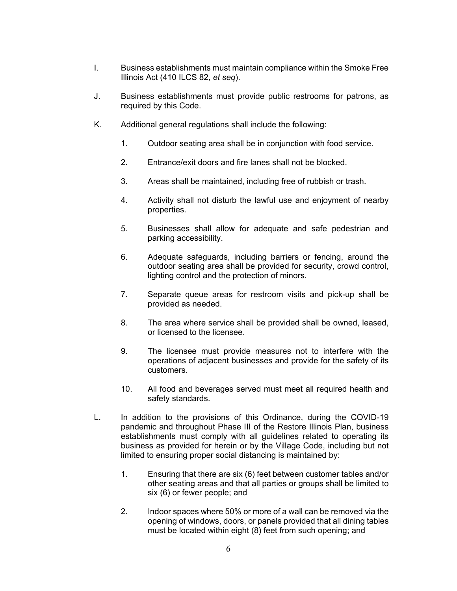- I. Business establishments must maintain compliance within the Smoke Free Illinois Act (410 ILCS 82, *et seq*).
- J. Business establishments must provide public restrooms for patrons, as required by this Code.
- K. Additional general regulations shall include the following:
	- 1. Outdoor seating area shall be in conjunction with food service.
	- 2. Entrance/exit doors and fire lanes shall not be blocked.
	- 3. Areas shall be maintained, including free of rubbish or trash.
	- 4. Activity shall not disturb the lawful use and enjoyment of nearby properties.
	- 5. Businesses shall allow for adequate and safe pedestrian and parking accessibility.
	- 6. Adequate safeguards, including barriers or fencing, around the outdoor seating area shall be provided for security, crowd control, lighting control and the protection of minors.
	- 7. Separate queue areas for restroom visits and pick-up shall be provided as needed.
	- 8. The area where service shall be provided shall be owned, leased, or licensed to the licensee.
	- 9. The licensee must provide measures not to interfere with the operations of adjacent businesses and provide for the safety of its customers.
	- 10. All food and beverages served must meet all required health and safety standards.
- L. In addition to the provisions of this Ordinance, during the COVID-19 pandemic and throughout Phase III of the Restore Illinois Plan, business establishments must comply with all guidelines related to operating its business as provided for herein or by the Village Code, including but not limited to ensuring proper social distancing is maintained by:
	- 1. Ensuring that there are six (6) feet between customer tables and/or other seating areas and that all parties or groups shall be limited to six (6) or fewer people; and
	- 2. Indoor spaces where 50% or more of a wall can be removed via the opening of windows, doors, or panels provided that all dining tables must be located within eight (8) feet from such opening; and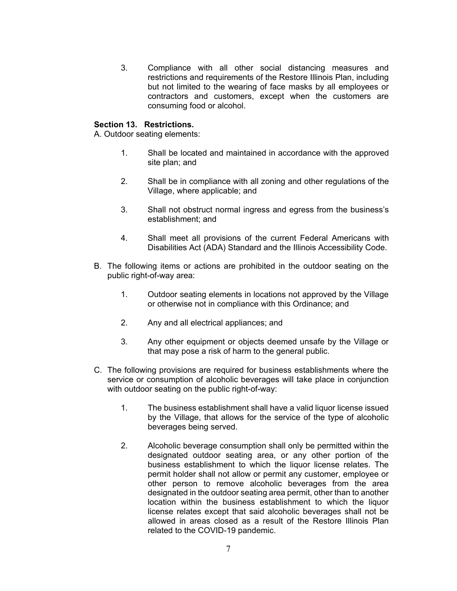3. Compliance with all other social distancing measures and restrictions and requirements of the Restore Illinois Plan, including but not limited to the wearing of face masks by all employees or contractors and customers, except when the customers are consuming food or alcohol.

# **Section 13. Restrictions.**

A. Outdoor seating elements:

- 1. Shall be located and maintained in accordance with the approved site plan; and
- 2. Shall be in compliance with all zoning and other regulations of the Village, where applicable; and
- 3. Shall not obstruct normal ingress and egress from the business's establishment; and
- 4. Shall meet all provisions of the current Federal Americans with Disabilities Act (ADA) Standard and the Illinois Accessibility Code.
- B. The following items or actions are prohibited in the outdoor seating on the public right-of-way area:
	- 1. Outdoor seating elements in locations not approved by the Village or otherwise not in compliance with this Ordinance; and
	- 2. Any and all electrical appliances; and
	- 3. Any other equipment or objects deemed unsafe by the Village or that may pose a risk of harm to the general public.
- C. The following provisions are required for business establishments where the service or consumption of alcoholic beverages will take place in conjunction with outdoor seating on the public right-of-way:
	- 1. The business establishment shall have a valid liquor license issued by the Village, that allows for the service of the type of alcoholic beverages being served.
	- 2. Alcoholic beverage consumption shall only be permitted within the designated outdoor seating area, or any other portion of the business establishment to which the liquor license relates. The permit holder shall not allow or permit any customer, employee or other person to remove alcoholic beverages from the area designated in the outdoor seating area permit, other than to another location within the business establishment to which the liquor license relates except that said alcoholic beverages shall not be allowed in areas closed as a result of the Restore Illinois Plan related to the COVID-19 pandemic.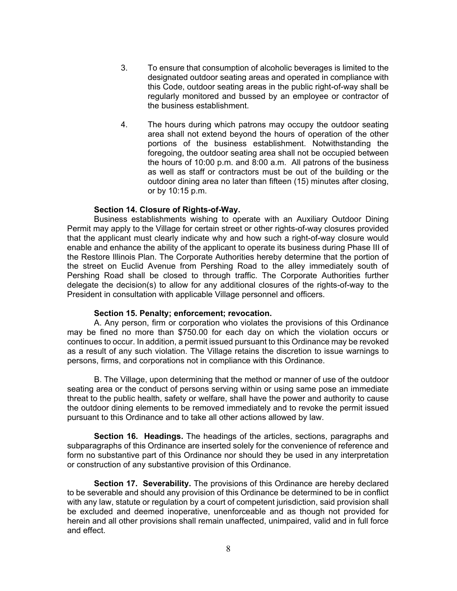- 3. To ensure that consumption of alcoholic beverages is limited to the designated outdoor seating areas and operated in compliance with this Code, outdoor seating areas in the public right-of-way shall be regularly monitored and bussed by an employee or contractor of the business establishment.
- 4. The hours during which patrons may occupy the outdoor seating area shall not extend beyond the hours of operation of the other portions of the business establishment. Notwithstanding the foregoing, the outdoor seating area shall not be occupied between the hours of 10:00 p.m. and 8:00 a.m. All patrons of the business as well as staff or contractors must be out of the building or the outdoor dining area no later than fifteen (15) minutes after closing, or by 10:15 p.m.

### **Section 14. Closure of Rights-of-Way.**

Business establishments wishing to operate with an Auxiliary Outdoor Dining Permit may apply to the Village for certain street or other rights-of-way closures provided that the applicant must clearly indicate why and how such a right-of-way closure would enable and enhance the ability of the applicant to operate its business during Phase III of the Restore Illinois Plan. The Corporate Authorities hereby determine that the portion of the street on Euclid Avenue from Pershing Road to the alley immediately south of Pershing Road shall be closed to through traffic. The Corporate Authorities further delegate the decision(s) to allow for any additional closures of the rights-of-way to the President in consultation with applicable Village personnel and officers.

#### **Section 15. Penalty; enforcement; revocation.**

A. Any person, firm or corporation who violates the provisions of this Ordinance may be fined no more than \$750.00 for each day on which the violation occurs or continues to occur. In addition, a permit issued pursuant to this Ordinance may be revoked as a result of any such violation. The Village retains the discretion to issue warnings to persons, firms, and corporations not in compliance with this Ordinance.

B. The Village, upon determining that the method or manner of use of the outdoor seating area or the conduct of persons serving within or using same pose an immediate threat to the public health, safety or welfare, shall have the power and authority to cause the outdoor dining elements to be removed immediately and to revoke the permit issued pursuant to this Ordinance and to take all other actions allowed by law.

**Section 16. Headings.** The headings of the articles, sections, paragraphs and subparagraphs of this Ordinance are inserted solely for the convenience of reference and form no substantive part of this Ordinance nor should they be used in any interpretation or construction of any substantive provision of this Ordinance.

**Section 17. Severability.** The provisions of this Ordinance are hereby declared to be severable and should any provision of this Ordinance be determined to be in conflict with any law, statute or regulation by a court of competent jurisdiction, said provision shall be excluded and deemed inoperative, unenforceable and as though not provided for herein and all other provisions shall remain unaffected, unimpaired, valid and in full force and effect.